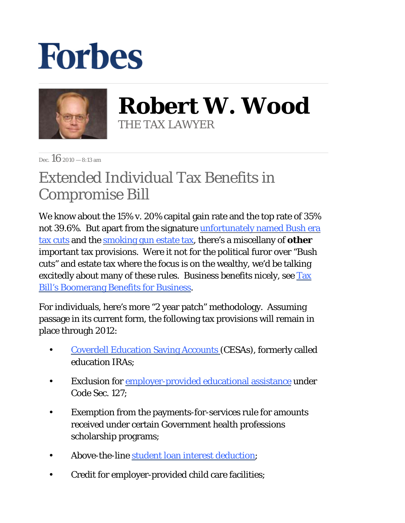## **Forbes**



**Robert W. Wood** THE TAX LAWYER

Dec.  $162010 - 8:13$  am

## Extended Individual Tax Benefits in Compromise Bill

We know about the 15% v. 20% capital gain rate and the top rate of 35% not 39.6%. But apart from the signature [unfortunately named Bush era](http://blogs.forbes.com/robertwood/2010/11/24/bush-tax-cuts-better-by-another-name/)  [tax cuts](http://blogs.forbes.com/robertwood/2010/11/24/bush-tax-cuts-better-by-another-name/) and the [smoking gun estate tax,](http://blogs.forbes.com/robertwood/2010/11/22/ghoulish-estate-planning-before-new-years/) there's a miscellany of *other* important tax provisions. Were it not for the political furor over "Bush cuts" and estate tax where the focus is on the wealthy, we'd be talking excitedly about many of these rules. Business benefits nicely, see  $\frac{\text{Tax}}{\text{Tax}}$ [Bill's Boomerang Benefits for Business.](http://blogs.forbes.com/robertwood/2010/12/15/tax-bills-boomerang-benefits-for-business/)

For individuals, here's more "2 year patch" methodology. Assuming passage in its current form, the following tax provisions will remain in place through 2012:

- [Coverdell Education Saving Accounts](http://www.irs.gov/newsroom/article/0,,id=107636,00.html) [\(](http://www.irs.gov/newsroom/article/0,,id=107636,00.html)CESAs), formerly called education IRAs; •
- Exclusion for [employer-provided educational assistance](http://www.irs.gov/publications/p970/ch12.html) under Code Sec. 127; •
- Exemption from the payments-for-services rule for amounts received under certain Government health professions scholarship programs; •
- Above-the-line [student loan interest deduction;](http://www.irs.gov/publications/p970/ch05.html)
- Credit for employer-provided child care facilities;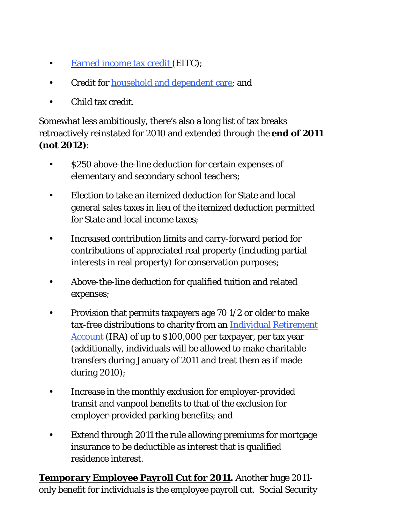- [Earned income tax credit \(](http://www.eitc.irs.gov/central/main/)EITC);
- Credit for **household** and dependent care; and
- Child tax credit.

Somewhat less ambitiously, there's also a long list of tax breaks retroactively reinstated for 2010 and extended through the *end of 2011 (not 2012)*:

- \$250 above-the-line deduction for certain expenses of elementary and secondary school teachers; •
- Election to take an itemized deduction for State and local general sales taxes in lieu of the itemized deduction permitted for State and local income taxes; •
- Increased contribution limits and carry-forward period for contributions of appreciated real property (including partial interests in real property) for conservation purposes; •
- Above-the-line deduction for qualified tuition and related expenses; •
- Provision that permits taxpayers age 70 1/2 or older to make tax-free distributions to charity from an [Individual Retirement](http://www.irs.gov/taxtopics/tc451.html) [Account](http://www.irs.gov/taxtopics/tc451.html) (IRA) of up to \$100,000 per taxpayer, per tax year (additionally, individuals will be allowed to make charitable transfers during January of 2011 and treat them as if made during 2010); •
- Increase in the monthly exclusion for employer-provided transit and vanpool benefits to that of the exclusion for employer-provided parking benefits; and •
- Extend through 2011 the rule allowing premiums for mortgage insurance to be deductible as interest that is qualified residence interest. •

**Temporary Employee Payroll Cut for 2011***.* Another huge 2011 only benefit for individuals is the employee payroll cut. Social Security